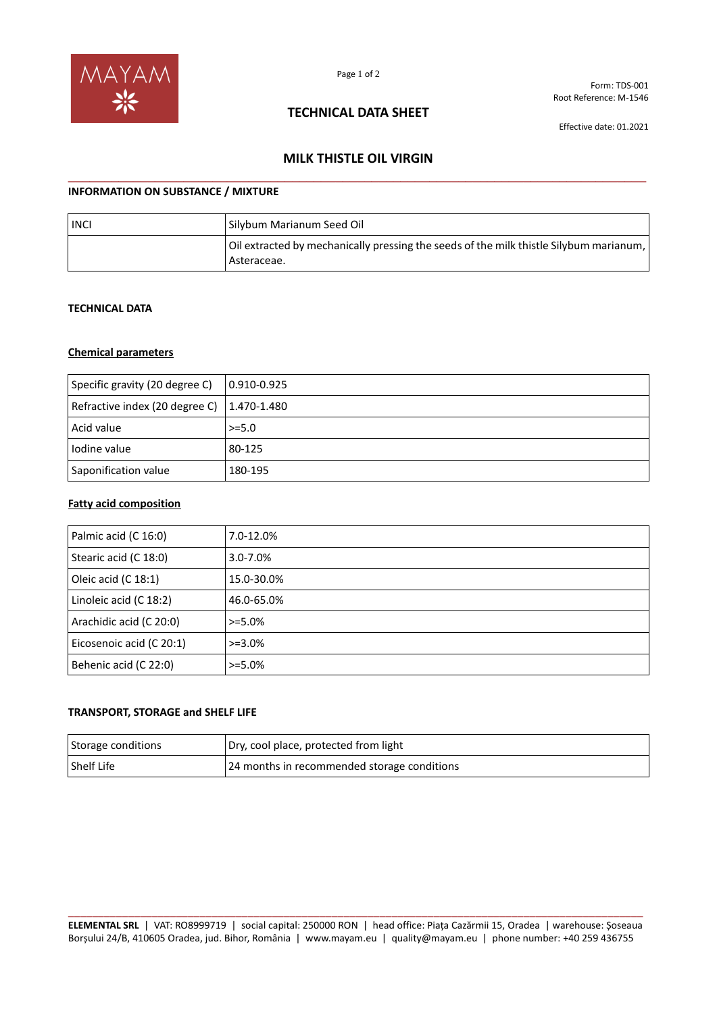

Form: TDS-001 Root Reference: M-1546

## **TECHNICAL DATA SHEET**

Effective date: 01.2021

# **MILK THISTLE OIL VIRGIN \_\_\_\_\_\_\_\_\_\_\_\_\_\_\_\_\_\_\_\_\_\_\_\_\_\_\_\_\_\_\_\_\_\_\_\_\_\_\_\_\_\_\_\_\_\_\_\_\_\_\_\_\_\_\_\_\_\_\_\_\_\_\_\_\_\_\_\_\_\_\_\_\_\_\_\_\_\_\_\_**

### **INFORMATION ON SUBSTANCE / MIXTURE**

| <b>INCI</b> | Silybum Marianum Seed Oil                                                                             |
|-------------|-------------------------------------------------------------------------------------------------------|
|             | Oil extracted by mechanically pressing the seeds of the milk thistle Silybum marianum,<br>Asteraceae. |

#### **TECHNICAL DATA**

### **Chemical parameters**

| Specific gravity (20 degree C)                     | $ 0.910 - 0.925 $ |
|----------------------------------------------------|-------------------|
| Refractive index (20 degree C) $\vert$ 1.470-1.480 |                   |
| Acid value                                         | $>= 5.0$          |
| Iodine value                                       | 80-125            |
| Saponification value                               | 180-195           |

#### **Fatty acid composition**

| Palmic acid (C 16:0)     | 7.0-12.0%     |
|--------------------------|---------------|
| Stearic acid (C 18:0)    | $3.0 - 7.0\%$ |
| Oleic acid (C 18:1)      | 15.0-30.0%    |
| Linoleic acid (C 18:2)   | 46.0-65.0%    |
| Arachidic acid (C 20:0)  | $> = 5.0\%$   |
| Eicosenoic acid (C 20:1) | $>=3.0\%$     |
| Behenic acid (C 22:0)    | $> = 5.0\%$   |

### **TRANSPORT, STORAGE and SHELF LIFE**

| Storage conditions | Dry, cool place, protected from light       |
|--------------------|---------------------------------------------|
| Shelf Life         | 24 months in recommended storage conditions |